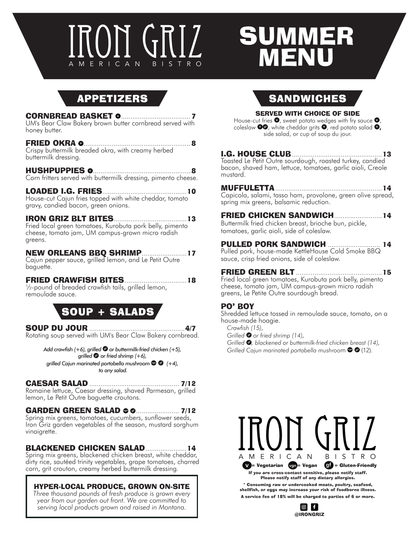# IGRIZ SUM ON GRI ERICAN

# AMERICAN BISTRO BISTRO BELLET **MMER** MENU

## APPETIZERS

#### CORNBREAD BASKET <sup>v</sup> ..................................... 7

UM's Bear Claw Bakery brown butter cornbread served with honey butter.

#### FRIED OKRA <sup>v</sup> ......................................................... 8

Crispy buttermilk breaded okra, with creamy herbed buttermilk dressing.

HUSHPUPPIES <sup>v</sup> .................................................... 8 Corn fritters served with buttermilk dressing, pimento cheese.

### LOADED I.G. FRIES.............................................10

House-cut Cajun fries topped with white cheddar, tomato gravy, candied bacon, green onions.

#### IRON GRIZ BLT BITES.......................................13

Fried local green tomatoes, Kurobuta pork belly, pimento cheese, tomato jam, UM campus-grown micro radish greens.

#### NEW ORLEANS BBQ SHRIMP........................17

Cajun pepper sauce, grilled lemon, and Le Petit Outre baguette.

#### FRIED CRAWFISH BITES.................................18

1/2-pound of breaded crawfish tails, grilled lemon, remoulade sauce.

## SOUP + SALADS

SOUP DU JOUR ...................................................4/7 Rotating soup served with UM's Bear Claw Bakery cornbread.

*Add crawfish (+6), grilled*  $\bullet$  or buttermilk-fried chicken (+5), *grilled*  $\bullet$  *or fried shrimp (+6), grilled Cajun marinated portabella mushroom*  $\bullet$   $\bullet$  (+4),  *to any salad.*

#### CAESAR SALAD ................................................ 7/12

Romaine lettuce, Caesar dressing, shaved Parmesan, grilled lemon, Le Petit Outre baguette croutons.

#### **GARDEN GREEN SALAD © © ....................... 7/12**

Spring mix greens, tomatoes, cucumbers, sunflower seeds, Iron Griz garden vegetables of the season, mustard sorghum vinaigrette.

### BLACKENED CHICKEN SALAD......................14

Spring mix greens, blackened chicken breast, white cheddar, dirty rice, sautéed trinity vegetables, grape tomatoes, charred corn, grit crouton, creamy herbed buttermilk dressing.

#### HYPER-LOCAL PRODUCE, GROWN ON-SITE

*Three thousand pounds of fresh produce is grown every year from our garden out front. We are committed to serving local products grown and raised in Montana.*

## **SANDWICHES**

#### SERVED WITH CHOICE OF SIDE

House-cut fries  $\bullet$ , sweet potato wedges with fry sauce  $\bullet$ , coleslaw  $\bullet\bullet$ , white cheddar grits  $\bullet$ , red potato salad  $\bullet$ , side salad, or cup of soup du jour.

#### I.G. HOUSE CLUB................................................13

Toasted Le Petit Outre sourdough, roasted turkey, candied bacon, shaved ham, lettuce, tomatoes, garlic aioli, Creole mustard.

MUFFULETTA.........................................................14 Capicola, salami, tasso ham, provolone, green olive spread, spring mix greens, balsamic reduction.

#### FRIED CHICKEN SANDWICH .........................14

Buttermilk fried chicken breast, brioche bun, pickle, tomatoes, garlic aioli, side of coleslaw.

#### PULLED PORK SANDWICH ............................ 14

Pulled pork, house-made KettleHouse Cold Smoke BBQ sauce, crisp fried onions, side of coleslaw.

#### FRIED GREEN BLT ..............................................15

Fried local green tomatoes, Kurobuta pork belly, pimento cheese, tomato jam, UM campus-grown micro radish greens, Le Petite Outre sourdough bread.

#### PO' BOY

Shredded lettuce tossed in remoulade sauce, tomato, on a house-made hoagie.

*Crawfish (15),* 

*Grilled*  $\bullet$  or fried shrimp (14),

*Grilled*  $\bullet$ , blackened or buttermilk-fried chicken breast (14), *Grilled Cajun marinated portabella mushroom*  $\bullet$  **6** (12).



Consuming raw or undercooked meats, poultry, seafood, shellfish, or eggs may increase your risk of foodborne illness. A service fee of 18% will be charged to parties of 6 or more.